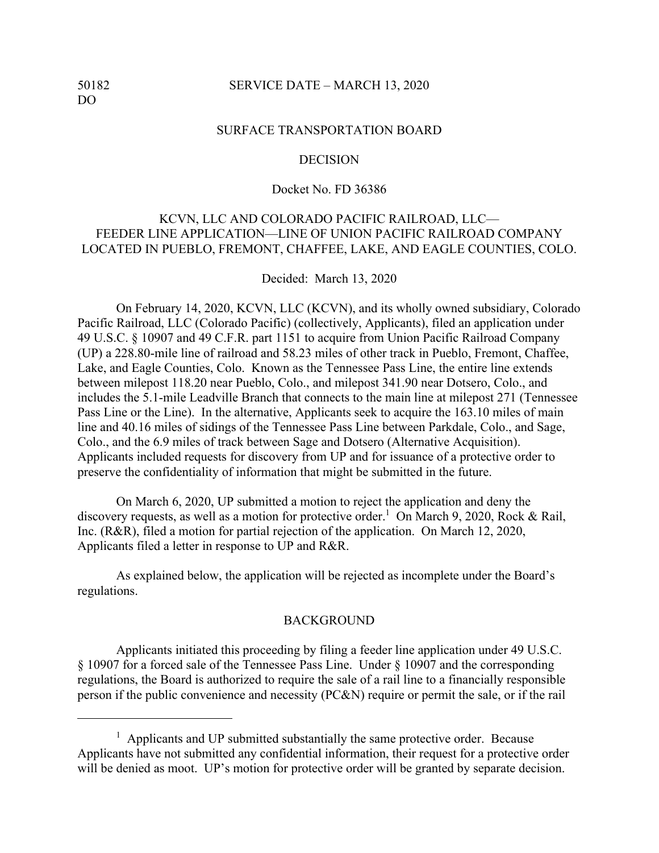### 50182 SERVICE DATE – MARCH 13, 2020

### SURFACE TRANSPORTATION BOARD

### **DECISION**

### Docket No. FD 36386

# KCVN, LLC AND COLORADO PACIFIC RAILROAD, LLC— FEEDER LINE APPLICATION—LINE OF UNION PACIFIC RAILROAD COMPANY LOCATED IN PUEBLO, FREMONT, CHAFFEE, LAKE, AND EAGLE COUNTIES, COLO.

Decided: March 13, 2020

On February 14, 2020, KCVN, LLC (KCVN), and its wholly owned subsidiary, Colorado Pacific Railroad, LLC (Colorado Pacific) (collectively, Applicants), filed an application under 49 U.S.C. § 10907 and 49 C.F.R. part 1151 to acquire from Union Pacific Railroad Company (UP) a 228.80-mile line of railroad and 58.23 miles of other track in Pueblo, Fremont, Chaffee, Lake, and Eagle Counties, Colo. Known as the Tennessee Pass Line, the entire line extends between milepost 118.20 near Pueblo, Colo., and milepost 341.90 near Dotsero, Colo., and includes the 5.1-mile Leadville Branch that connects to the main line at milepost 271 (Tennessee Pass Line or the Line). In the alternative, Applicants seek to acquire the 163.10 miles of main line and 40.16 miles of sidings of the Tennessee Pass Line between Parkdale, Colo., and Sage, Colo., and the 6.9 miles of track between Sage and Dotsero (Alternative Acquisition). Applicants included requests for discovery from UP and for issuance of a protective order to preserve the confidentiality of information that might be submitted in the future.

On March 6, 2020, UP submitted a motion to reject the application and deny the discovery requests, as well as a motion for protective order.<sup>1</sup> On March 9, 2020, Rock & Rail, Inc. (R&R), filed a motion for partial rejection of the application. On March 12, 2020, Applicants filed a letter in response to UP and R&R.

As explained below, the application will be rejected as incomplete under the Board's regulations.

#### **BACKGROUND**

 Applicants initiated this proceeding by filing a feeder line application under 49 U.S.C. § 10907 for a forced sale of the Tennessee Pass Line. Under § 10907 and the corresponding regulations, the Board is authorized to require the sale of a rail line to a financially responsible person if the public convenience and necessity (PC&N) require or permit the sale, or if the rail

<sup>&</sup>lt;sup>1</sup> Applicants and UP submitted substantially the same protective order. Because Applicants have not submitted any confidential information, their request for a protective order will be denied as moot. UP's motion for protective order will be granted by separate decision.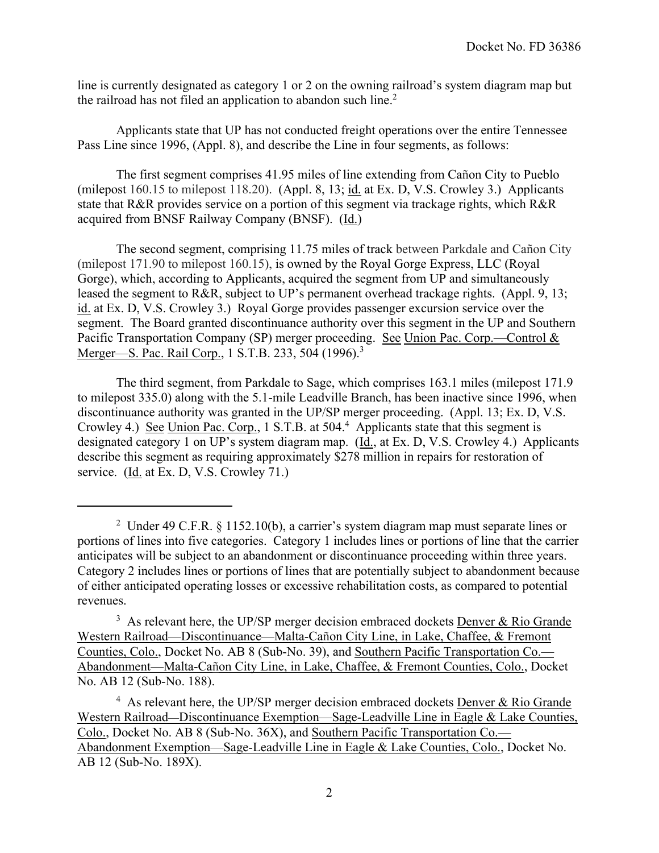line is currently designated as category 1 or 2 on the owning railroad's system diagram map but the railroad has not filed an application to abandon such line. $2$ 

Applicants state that UP has not conducted freight operations over the entire Tennessee Pass Line since 1996, (Appl. 8), and describe the Line in four segments, as follows:

The first segment comprises 41.95 miles of line extending from Cañon City to Pueblo (milepost 160.15 to milepost 118.20). (Appl. 8, 13; id. at Ex. D, V.S. Crowley 3.) Applicants state that R&R provides service on a portion of this segment via trackage rights, which R&R acquired from BNSF Railway Company (BNSF). (Id.)

The second segment, comprising 11.75 miles of track between Parkdale and Cañon City (milepost 171.90 to milepost 160.15), is owned by the Royal Gorge Express, LLC (Royal Gorge), which, according to Applicants, acquired the segment from UP and simultaneously leased the segment to R&R, subject to UP's permanent overhead trackage rights. (Appl. 9, 13; id. at Ex. D, V.S. Crowley 3.) Royal Gorge provides passenger excursion service over the segment. The Board granted discontinuance authority over this segment in the UP and Southern Pacific Transportation Company (SP) merger proceeding. See Union Pac. Corp.—Control & Merger—S. Pac. Rail Corp., 1 S.T.B. 233, 504 (1996).<sup>3</sup>

The third segment, from Parkdale to Sage, which comprises 163.1 miles (milepost 171.9 to milepost 335.0) along with the 5.1-mile Leadville Branch, has been inactive since 1996, when discontinuance authority was granted in the UP/SP merger proceeding. (Appl. 13; Ex. D, V.S. Crowley 4.) See Union Pac. Corp., 1 S.T.B. at 504.<sup>4</sup> Applicants state that this segment is designated category 1 on UP's system diagram map. (Id., at Ex. D, V.S. Crowley 4.) Applicants describe this segment as requiring approximately \$278 million in repairs for restoration of service. (Id. at Ex. D, V.S. Crowley 71.)

<sup>&</sup>lt;sup>2</sup> Under 49 C.F.R. § 1152.10(b), a carrier's system diagram map must separate lines or portions of lines into five categories. Category 1 includes lines or portions of line that the carrier anticipates will be subject to an abandonment or discontinuance proceeding within three years. Category 2 includes lines or portions of lines that are potentially subject to abandonment because of either anticipated operating losses or excessive rehabilitation costs, as compared to potential revenues.

 $3$  As relevant here, the UP/SP merger decision embraced dockets Denver & Rio Grande Western Railroad—Discontinuance—Malta-Cañon City Line, in Lake, Chaffee, & Fremont Counties, Colo., Docket No. AB 8 (Sub-No. 39), and Southern Pacific Transportation Co.— Abandonment—Malta-Cañon City Line, in Lake, Chaffee, & Fremont Counties, Colo., Docket No. AB 12 (Sub-No. 188).

 $4$  As relevant here, the UP/SP merger decision embraced dockets Denver & Rio Grande Western Railroad—Discontinuance Exemption—Sage-Leadville Line in Eagle & Lake Counties, Colo., Docket No. AB 8 (Sub-No. 36X), and Southern Pacific Transportation Co.— Abandonment Exemption—Sage-Leadville Line in Eagle & Lake Counties, Colo., Docket No. AB 12 (Sub-No. 189X).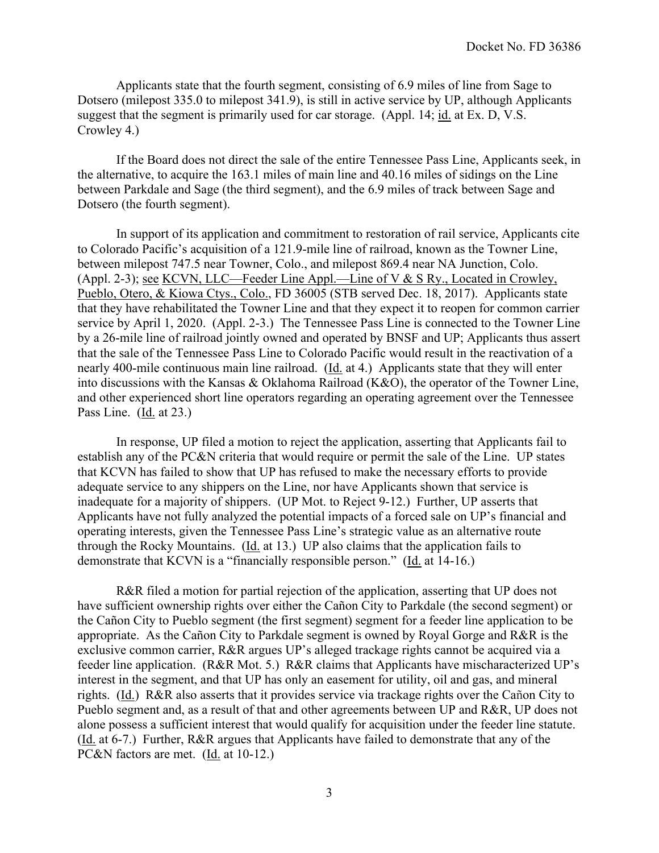Applicants state that the fourth segment, consisting of 6.9 miles of line from Sage to Dotsero (milepost 335.0 to milepost 341.9), is still in active service by UP, although Applicants suggest that the segment is primarily used for car storage. (Appl. 14; id. at Ex. D, V.S. Crowley 4.)

If the Board does not direct the sale of the entire Tennessee Pass Line, Applicants seek, in the alternative, to acquire the 163.1 miles of main line and 40.16 miles of sidings on the Line between Parkdale and Sage (the third segment), and the 6.9 miles of track between Sage and Dotsero (the fourth segment).

In support of its application and commitment to restoration of rail service, Applicants cite to Colorado Pacific's acquisition of a 121.9-mile line of railroad, known as the Towner Line, between milepost 747.5 near Towner, Colo., and milepost 869.4 near NA Junction, Colo. (Appl. 2-3); see KCVN, LLC—Feeder Line Appl.—Line of V & S Ry., Located in Crowley, Pueblo, Otero, & Kiowa Ctys., Colo., FD 36005 (STB served Dec. 18, 2017). Applicants state that they have rehabilitated the Towner Line and that they expect it to reopen for common carrier service by April 1, 2020. (Appl. 2-3.) The Tennessee Pass Line is connected to the Towner Line by a 26-mile line of railroad jointly owned and operated by BNSF and UP; Applicants thus assert that the sale of the Tennessee Pass Line to Colorado Pacific would result in the reactivation of a nearly 400-mile continuous main line railroad. (Id. at 4.) Applicants state that they will enter into discussions with the Kansas & Oklahoma Railroad (K&O), the operator of the Towner Line, and other experienced short line operators regarding an operating agreement over the Tennessee Pass Line. (Id. at 23.)

In response, UP filed a motion to reject the application, asserting that Applicants fail to establish any of the PC&N criteria that would require or permit the sale of the Line. UP states that KCVN has failed to show that UP has refused to make the necessary efforts to provide adequate service to any shippers on the Line, nor have Applicants shown that service is inadequate for a majority of shippers. (UP Mot. to Reject 9-12.) Further, UP asserts that Applicants have not fully analyzed the potential impacts of a forced sale on UP's financial and operating interests, given the Tennessee Pass Line's strategic value as an alternative route through the Rocky Mountains. (Id. at 13.) UP also claims that the application fails to demonstrate that KCVN is a "financially responsible person." (Id. at 14-16.)

R&R filed a motion for partial rejection of the application, asserting that UP does not have sufficient ownership rights over either the Cañon City to Parkdale (the second segment) or the Cañon City to Pueblo segment (the first segment) segment for a feeder line application to be appropriate. As the Cañon City to Parkdale segment is owned by Royal Gorge and R&R is the exclusive common carrier, R&R argues UP's alleged trackage rights cannot be acquired via a feeder line application. (R&R Mot. 5.) R&R claims that Applicants have mischaracterized UP's interest in the segment, and that UP has only an easement for utility, oil and gas, and mineral rights. (Id.) R&R also asserts that it provides service via trackage rights over the Cañon City to Pueblo segment and, as a result of that and other agreements between UP and R&R, UP does not alone possess a sufficient interest that would qualify for acquisition under the feeder line statute. (Id. at 6-7.) Further, R&R argues that Applicants have failed to demonstrate that any of the PC&N factors are met. (Id. at 10-12.)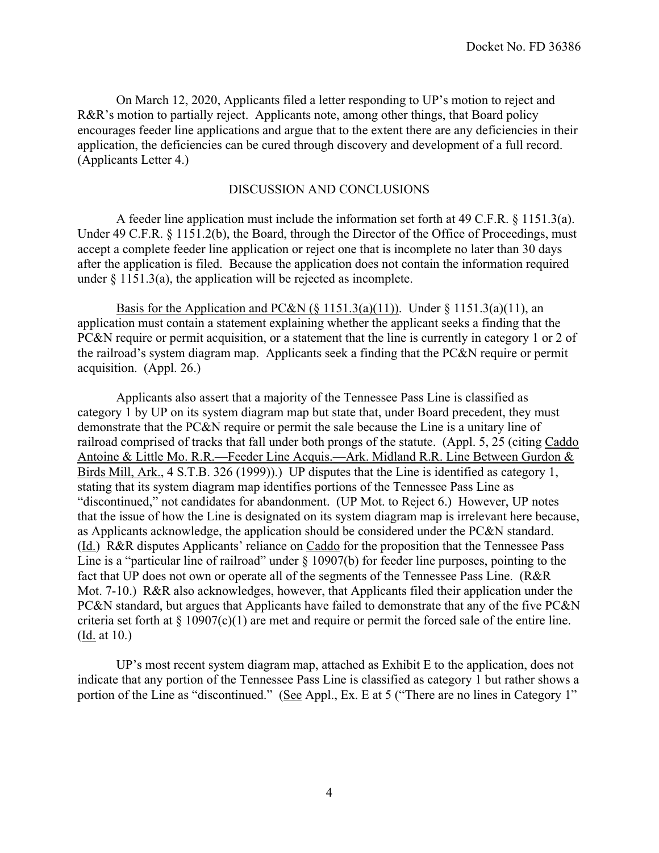On March 12, 2020, Applicants filed a letter responding to UP's motion to reject and R&R's motion to partially reject. Applicants note, among other things, that Board policy encourages feeder line applications and argue that to the extent there are any deficiencies in their application, the deficiencies can be cured through discovery and development of a full record. (Applicants Letter 4.)

## DISCUSSION AND CONCLUSIONS

A feeder line application must include the information set forth at 49 C.F.R. § 1151.3(a). Under 49 C.F.R. § 1151.2(b), the Board, through the Director of the Office of Proceedings, must accept a complete feeder line application or reject one that is incomplete no later than 30 days after the application is filed. Because the application does not contain the information required under § 1151.3(a), the application will be rejected as incomplete.

Basis for the Application and PC&N  $(\S 1151.3(a)(11))$ . Under  $\S 1151.3(a)(11)$ , an application must contain a statement explaining whether the applicant seeks a finding that the PC&N require or permit acquisition, or a statement that the line is currently in category 1 or 2 of the railroad's system diagram map. Applicants seek a finding that the PC&N require or permit acquisition. (Appl. 26.)

Applicants also assert that a majority of the Tennessee Pass Line is classified as category 1 by UP on its system diagram map but state that, under Board precedent, they must demonstrate that the PC&N require or permit the sale because the Line is a unitary line of railroad comprised of tracks that fall under both prongs of the statute. (Appl. 5, 25 (citing Caddo Antoine & Little Mo. R.R.—Feeder Line Acquis.—Ark. Midland R.R. Line Between Gurdon & Birds Mill, Ark., 4 S.T.B. 326 (1999)).) UP disputes that the Line is identified as category 1, stating that its system diagram map identifies portions of the Tennessee Pass Line as "discontinued," not candidates for abandonment. (UP Mot. to Reject 6.) However, UP notes that the issue of how the Line is designated on its system diagram map is irrelevant here because, as Applicants acknowledge, the application should be considered under the PC&N standard. (Id.) R&R disputes Applicants' reliance on Caddo for the proposition that the Tennessee Pass Line is a "particular line of railroad" under § 10907(b) for feeder line purposes, pointing to the fact that UP does not own or operate all of the segments of the Tennessee Pass Line. (R&R Mot. 7-10.) R&R also acknowledges, however, that Applicants filed their application under the PC&N standard, but argues that Applicants have failed to demonstrate that any of the five PC&N criteria set forth at  $\S 10907(c)(1)$  are met and require or permit the forced sale of the entire line. (Id. at 10.)

UP's most recent system diagram map, attached as Exhibit E to the application, does not indicate that any portion of the Tennessee Pass Line is classified as category 1 but rather shows a portion of the Line as "discontinued." (See Appl., Ex. E at 5 ("There are no lines in Category 1"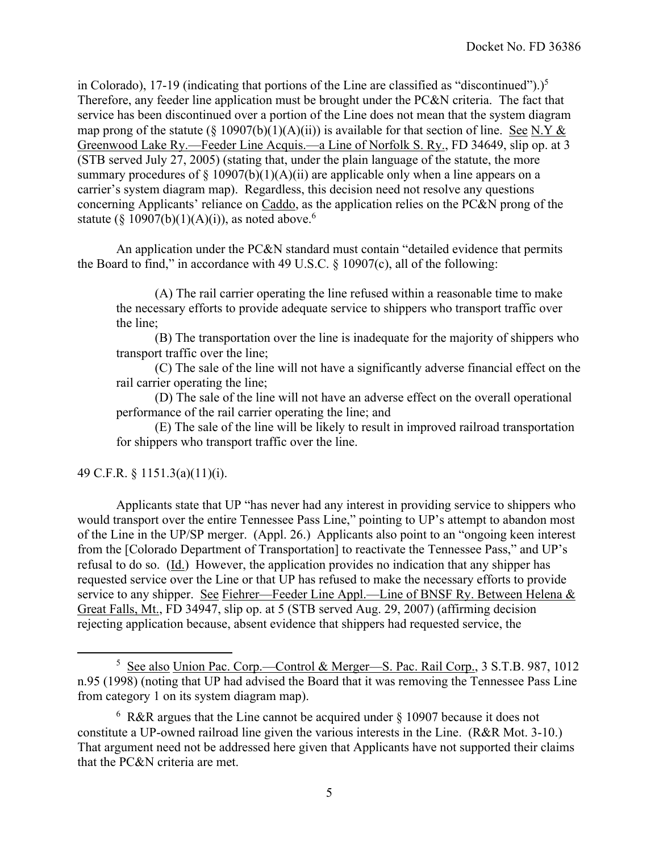in Colorado), 17-19 (indicating that portions of the Line are classified as "discontinued").)<sup>5</sup> Therefore, any feeder line application must be brought under the PC&N criteria. The fact that service has been discontinued over a portion of the Line does not mean that the system diagram map prong of the statute (§ 10907(b)(1)(A)(ii)) is available for that section of line. See N.Y & Greenwood Lake Ry.—Feeder Line Acquis.—a Line of Norfolk S. Ry., FD 34649, slip op. at 3 (STB served July 27, 2005) (stating that, under the plain language of the statute, the more summary procedures of  $\S$  10907(b)(1)(A)(ii) are applicable only when a line appears on a carrier's system diagram map). Regardless, this decision need not resolve any questions concerning Applicants' reliance on Caddo, as the application relies on the PC&N prong of the statute (§ 10907(b)(1)(A)(i)), as noted above.<sup>6</sup>

An application under the PC&N standard must contain "detailed evidence that permits the Board to find," in accordance with 49 U.S.C.  $\S$  10907(c), all of the following:

(A) The rail carrier operating the line refused within a reasonable time to make the necessary efforts to provide adequate service to shippers who transport traffic over the line;

(B) The transportation over the line is inadequate for the majority of shippers who transport traffic over the line;

(C) The sale of the line will not have a significantly adverse financial effect on the rail carrier operating the line;

(D) The sale of the line will not have an adverse effect on the overall operational performance of the rail carrier operating the line; and

(E) The sale of the line will be likely to result in improved railroad transportation for shippers who transport traffic over the line.

## 49 C.F.R. § 1151.3(a)(11)(i).

Applicants state that UP "has never had any interest in providing service to shippers who would transport over the entire Tennessee Pass Line," pointing to UP's attempt to abandon most of the Line in the UP/SP merger. (Appl. 26.) Applicants also point to an "ongoing keen interest from the [Colorado Department of Transportation] to reactivate the Tennessee Pass," and UP's refusal to do so. (Id.) However, the application provides no indication that any shipper has requested service over the Line or that UP has refused to make the necessary efforts to provide service to any shipper. See Fiehrer—Feeder Line Appl.—Line of BNSF Ry. Between Helena & Great Falls, Mt., FD 34947, slip op. at 5 (STB served Aug. 29, 2007) (affirming decision rejecting application because, absent evidence that shippers had requested service, the

<sup>&</sup>lt;sup>5</sup> See also Union Pac. Corp.—Control & Merger—S. Pac. Rail Corp., 3 S.T.B. 987, 1012 n.95 (1998) (noting that UP had advised the Board that it was removing the Tennessee Pass Line from category 1 on its system diagram map).

 $6 \text{ R&R}$  argues that the Line cannot be acquired under § 10907 because it does not constitute a UP-owned railroad line given the various interests in the Line. (R&R Mot. 3-10.) That argument need not be addressed here given that Applicants have not supported their claims that the PC&N criteria are met.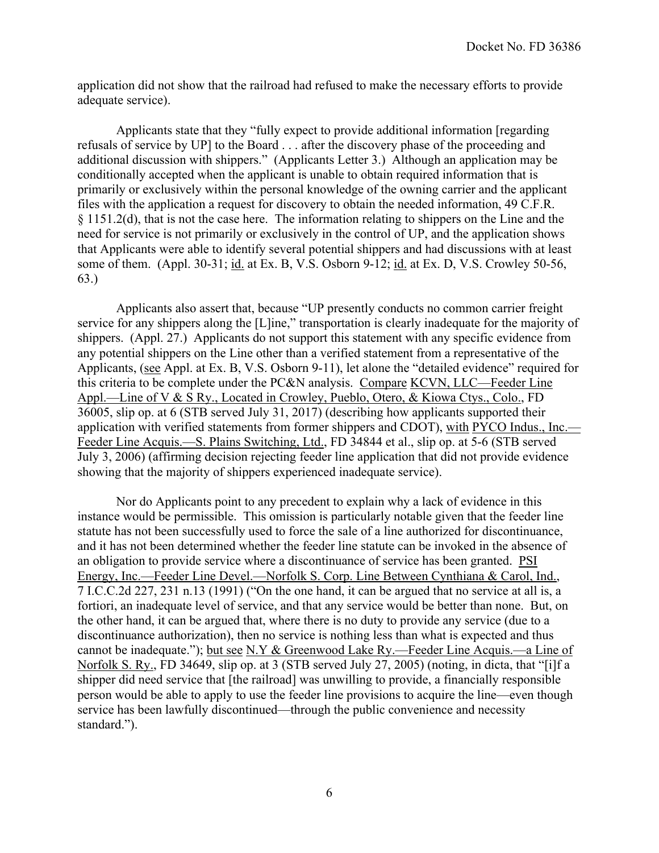application did not show that the railroad had refused to make the necessary efforts to provide adequate service).

Applicants state that they "fully expect to provide additional information [regarding refusals of service by UP] to the Board . . . after the discovery phase of the proceeding and additional discussion with shippers." (Applicants Letter 3.) Although an application may be conditionally accepted when the applicant is unable to obtain required information that is primarily or exclusively within the personal knowledge of the owning carrier and the applicant files with the application a request for discovery to obtain the needed information, 49 C.F.R. § 1151.2(d), that is not the case here. The information relating to shippers on the Line and the need for service is not primarily or exclusively in the control of UP, and the application shows that Applicants were able to identify several potential shippers and had discussions with at least some of them. (Appl. 30-31; id. at Ex. B, V.S. Osborn 9-12; id. at Ex. D, V.S. Crowley 50-56, 63.)

Applicants also assert that, because "UP presently conducts no common carrier freight service for any shippers along the [L]ine," transportation is clearly inadequate for the majority of shippers. (Appl. 27.) Applicants do not support this statement with any specific evidence from any potential shippers on the Line other than a verified statement from a representative of the Applicants, (see Appl. at Ex. B, V.S. Osborn 9-11), let alone the "detailed evidence" required for this criteria to be complete under the PC&N analysis. Compare KCVN, LLC—Feeder Line Appl.—Line of V & S Ry., Located in Crowley, Pueblo, Otero, & Kiowa Ctys., Colo., FD 36005, slip op. at 6 (STB served July 31, 2017) (describing how applicants supported their application with verified statements from former shippers and CDOT), with PYCO Indus., Inc.— Feeder Line Acquis.—S. Plains Switching, Ltd., FD 34844 et al., slip op. at 5-6 (STB served July 3, 2006) (affirming decision rejecting feeder line application that did not provide evidence showing that the majority of shippers experienced inadequate service).

Nor do Applicants point to any precedent to explain why a lack of evidence in this instance would be permissible. This omission is particularly notable given that the feeder line statute has not been successfully used to force the sale of a line authorized for discontinuance, and it has not been determined whether the feeder line statute can be invoked in the absence of an obligation to provide service where a discontinuance of service has been granted. PSI Energy, Inc.—Feeder Line Devel.—Norfolk S. Corp. Line Between Cynthiana & Carol, Ind., 7 I.C.C.2d 227, 231 n.13 (1991) ("On the one hand, it can be argued that no service at all is, a fortiori, an inadequate level of service, and that any service would be better than none. But, on the other hand, it can be argued that, where there is no duty to provide any service (due to a discontinuance authorization), then no service is nothing less than what is expected and thus cannot be inadequate."); but see N.Y & Greenwood Lake Ry.—Feeder Line Acquis.—a Line of Norfolk S. Ry., FD 34649, slip op. at 3 (STB served July 27, 2005) (noting, in dicta, that "[i]f a shipper did need service that [the railroad] was unwilling to provide, a financially responsible person would be able to apply to use the feeder line provisions to acquire the line—even though service has been lawfully discontinued—through the public convenience and necessity standard.").